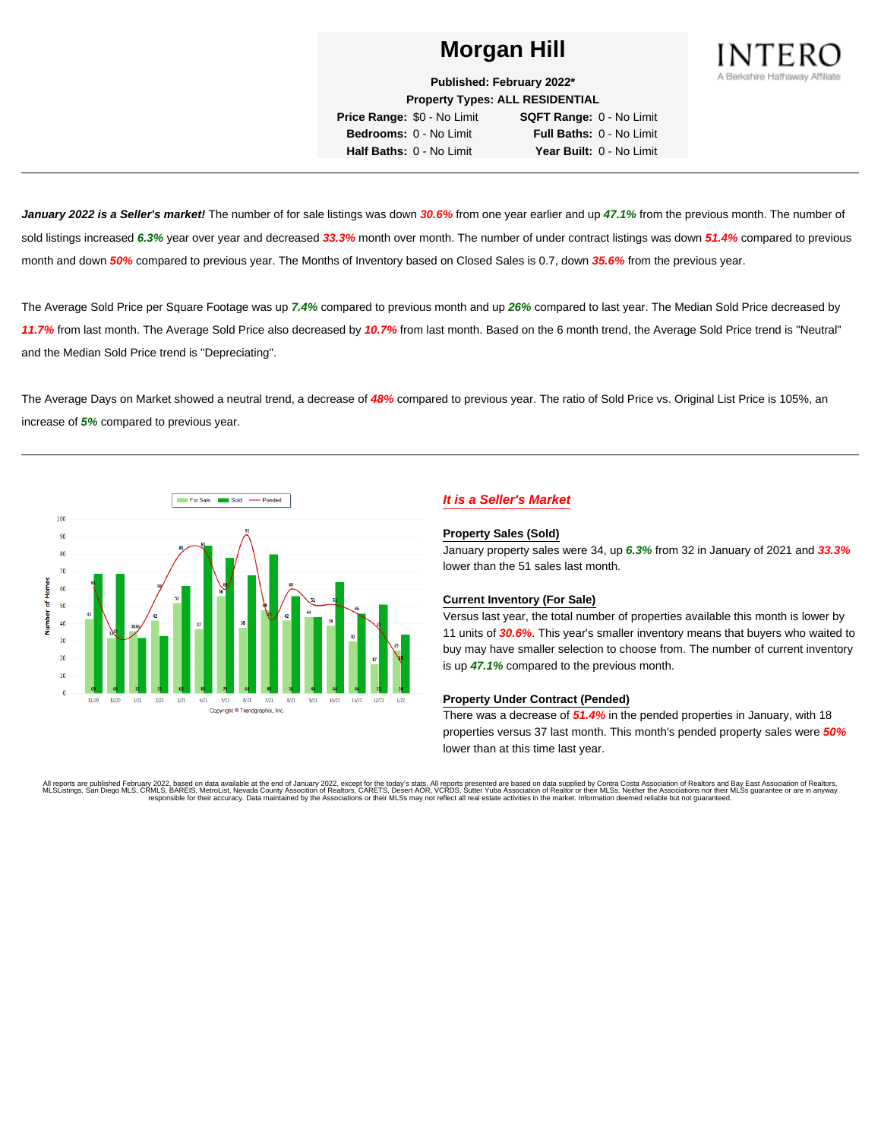

**Published: February 2022\* Property Types: ALL RESIDENTIAL**

**Price Range:** \$0 - No Limit **SQFT Range:** 0 - No Limit **Bedrooms:** 0 - No Limit **Full Baths:** 0 - No Limit **Half Baths:** 0 - No Limit **Year Built:** 0 - No Limit

**January 2022 is a Seller's market!** The number of for sale listings was down **30.6%** from one year earlier and up **47.1%** from the previous month. The number of sold listings increased **6.3%** year over year and decreased **33.3%** month over month. The number of under contract listings was down **51.4%** compared to previous month and down **50%** compared to previous year. The Months of Inventory based on Closed Sales is 0.7, down **35.6%** from the previous year.

The Average Sold Price per Square Footage was up **7.4%** compared to previous month and up **26%** compared to last year. The Median Sold Price decreased by **11.7%** from last month. The Average Sold Price also decreased by **10.7%** from last month. Based on the 6 month trend, the Average Sold Price trend is "Neutral" and the Median Sold Price trend is "Depreciating".

The Average Days on Market showed a neutral trend, a decrease of **48%** compared to previous year. The ratio of Sold Price vs. Original List Price is 105%, an increase of **5%** compared to previous year.



# **It is a Seller's Market**

#### **Property Sales (Sold)**

January property sales were 34, up **6.3%** from 32 in January of 2021 and **33.3%** lower than the 51 sales last month.

#### **Current Inventory (For Sale)**

Versus last year, the total number of properties available this month is lower by 11 units of **30.6%**. This year's smaller inventory means that buyers who waited to buy may have smaller selection to choose from. The number of current inventory is up **47.1%** compared to the previous month.

#### **Property Under Contract (Pended)**

There was a decrease of **51.4%** in the pended properties in January, with 18 properties versus 37 last month. This month's pended property sales were **50%** lower than at this time last year.

All reports are published February 2022, based on data available at the end of January 2022, except for the today's stats. All reports presented are based on data supplied by Contra Costa Association of Realtors and Bay Ea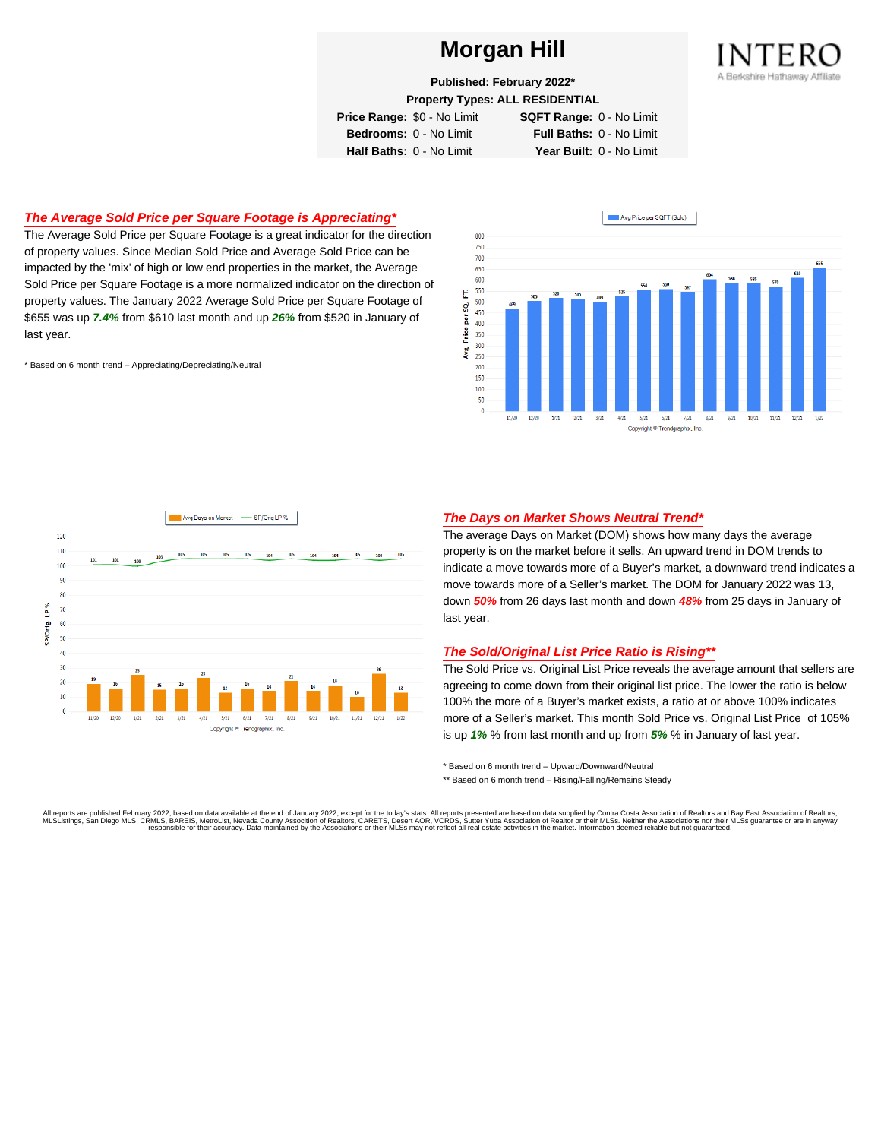

**Published: February 2022\***

**Property Types: ALL RESIDENTIAL**

**Price Range:** \$0 - No Limit **SQFT Range:** 0 - No Limit

**Bedrooms:** 0 - No Limit **Full Baths:** 0 - No Limit **Half Baths:** 0 - No Limit **Year Built:** 0 - No Limit

## **The Average Sold Price per Square Footage is Appreciating\***

The Average Sold Price per Square Footage is a great indicator for the direction of property values. Since Median Sold Price and Average Sold Price can be impacted by the 'mix' of high or low end properties in the market, the Average Sold Price per Square Footage is a more normalized indicator on the direction of property values. The January 2022 Average Sold Price per Square Footage of \$655 was up **7.4%** from \$610 last month and up **26%** from \$520 in January of last year.

\* Based on 6 month trend – Appreciating/Depreciating/Neutral





### **The Days on Market Shows Neutral Trend\***

The average Days on Market (DOM) shows how many days the average property is on the market before it sells. An upward trend in DOM trends to indicate a move towards more of a Buyer's market, a downward trend indicates a move towards more of a Seller's market. The DOM for January 2022 was 13, down **50%** from 26 days last month and down **48%** from 25 days in January of last year.

#### **The Sold/Original List Price Ratio is Rising\*\***

The Sold Price vs. Original List Price reveals the average amount that sellers are agreeing to come down from their original list price. The lower the ratio is below 100% the more of a Buyer's market exists, a ratio at or above 100% indicates more of a Seller's market. This month Sold Price vs. Original List Price of 105% is up **1%** % from last month and up from **5%** % in January of last year.

\* Based on 6 month trend – Upward/Downward/Neutral

\*\* Based on 6 month trend - Rising/Falling/Remains Steady

All reports are published February 2022, based on data available at the end of January 2022, except for the today's stats. All reports presented are based on data supplied by Contra Costa Association of Realtors and Bay Ea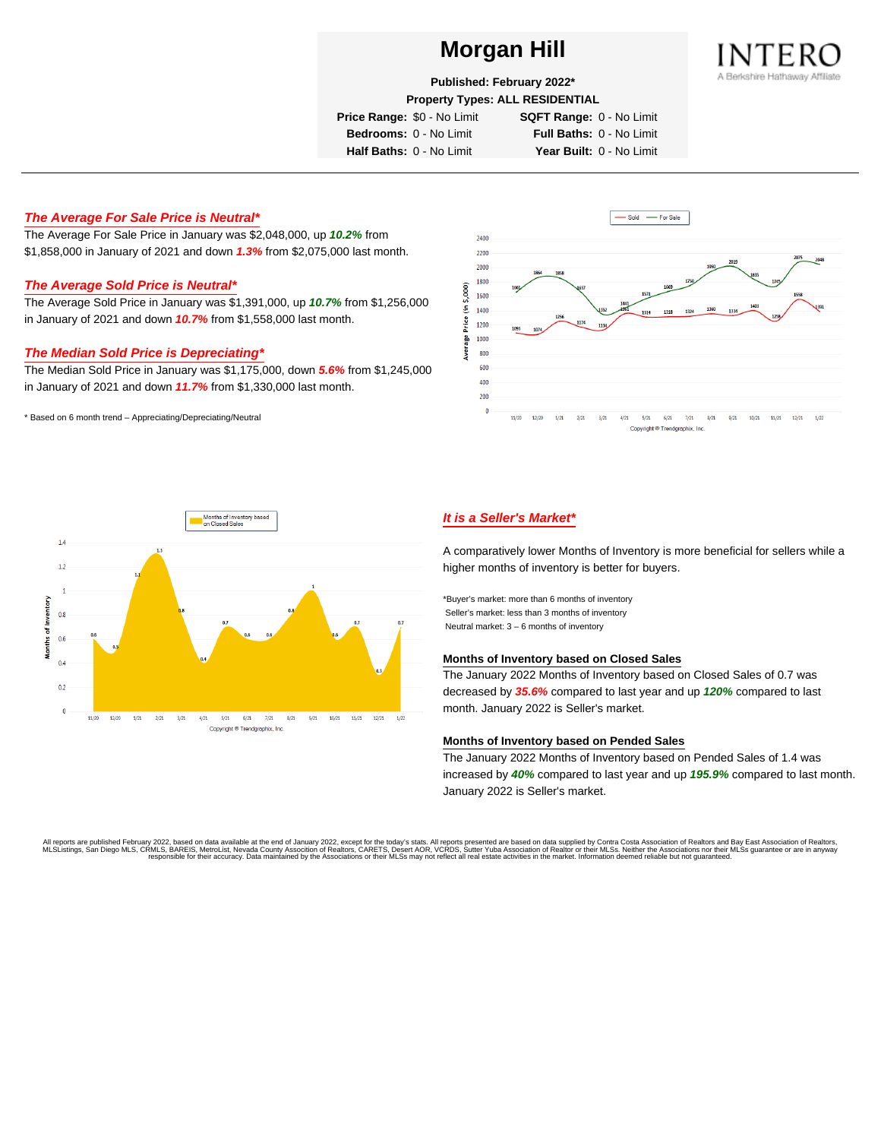

**Published: February 2022\***

**Property Types: ALL RESIDENTIAL**

**Price Range:** \$0 - No Limit **SQFT Range:** 0 - No Limit

**Bedrooms:** 0 - No Limit **Full Baths:** 0 - No Limit

**Half Baths:** 0 - No Limit **Year Built:** 0 - No Limit

### **The Average For Sale Price is Neutral\***

The Average For Sale Price in January was \$2,048,000, up **10.2%** from \$1,858,000 in January of 2021 and down **1.3%** from \$2,075,000 last month.

### **The Average Sold Price is Neutral\***

The Average Sold Price in January was \$1,391,000, up **10.7%** from \$1,256,000 in January of 2021 and down **10.7%** from \$1,558,000 last month.

### **The Median Sold Price is Depreciating\***

The Median Sold Price in January was \$1,175,000, down **5.6%** from \$1,245,000 in January of 2021 and down **11.7%** from \$1,330,000 last month.

\* Based on 6 month trend – Appreciating/Depreciating/Neutral





# **It is a Seller's Market\***

A comparatively lower Months of Inventory is more beneficial for sellers while a higher months of inventory is better for buyers.

\*Buyer's market: more than 6 months of inventory Seller's market: less than 3 months of inventory Neutral market: 3 – 6 months of inventory

#### **Months of Inventory based on Closed Sales**

The January 2022 Months of Inventory based on Closed Sales of 0.7 was decreased by **35.6%** compared to last year and up **120%** compared to last month. January 2022 is Seller's market.

#### **Months of Inventory based on Pended Sales**

The January 2022 Months of Inventory based on Pended Sales of 1.4 was increased by **40%** compared to last year and up **195.9%** compared to last month. January 2022 is Seller's market.

All reports are published February 2022, based on data available at the end of January 2022, except for the today's stats. All reports presented are based on data supplied by Contra Costa Association of Realtors, and beat responsible for their accuracy. Data maintained by the Associations or their MLSs may not reflect all real estate activities in the market. Information deemed reliable but not quaranteed